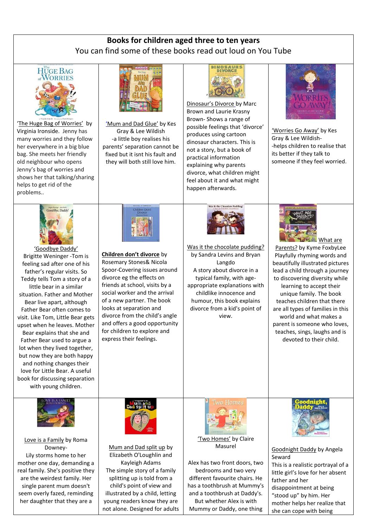## **Books for children aged three to ten years** You can find some of these books read out loud on You Tube

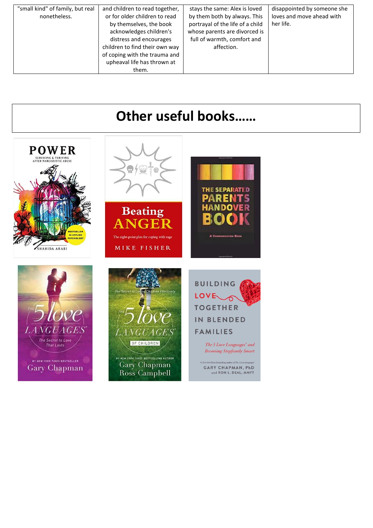| "small kind" of family, but real | and children to read together, | stays the same: Alex is loved    | disappointed by someone she |
|----------------------------------|--------------------------------|----------------------------------|-----------------------------|
| nonetheless.                     | or for older children to read  | by them both by always. This     | loves and move ahead with   |
|                                  | by themselves, the book        | portrayal of the life of a child | her life.                   |
|                                  | acknowledges children's        | whose parents are divorced is    |                             |
|                                  | distress and encourages        | full of warmth, comfort and      |                             |
|                                  | children to find their own way | affection.                       |                             |
|                                  | of coping with the trauma and  |                                  |                             |
|                                  | upheaval life has thrown at    |                                  |                             |
|                                  | them.                          |                                  |                             |

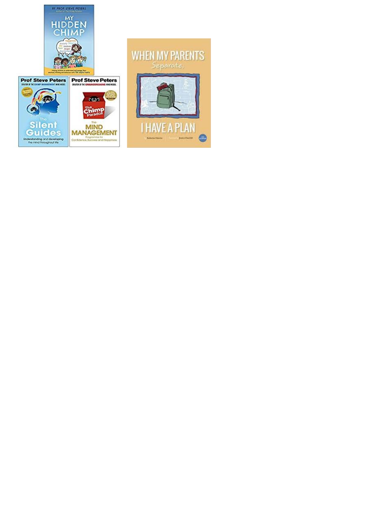